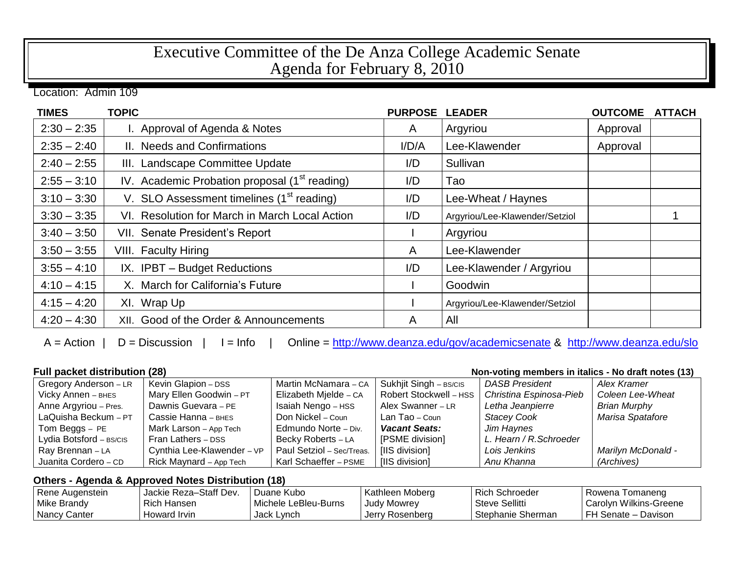## Executive Committee of the De Anza College Academic Senate Agenda for February 8, 2010

Location: Admin 109

| <b>TIMES</b>  | <b>TOPIC</b>                                              | <b>PURPOSE</b> | <b>LEADER</b>                  | <b>OUTCOME</b> | <b>ATTACH</b> |
|---------------|-----------------------------------------------------------|----------------|--------------------------------|----------------|---------------|
| $2:30 - 2:35$ | I. Approval of Agenda & Notes                             | A              | Argyriou                       | Approval       |               |
| $2:35 - 2:40$ | II. Needs and Confirmations                               | I/D/A          | Lee-Klawender                  | Approval       |               |
| $2:40 - 2:55$ | III. Landscape Committee Update                           | I/D            | Sullivan                       |                |               |
| $2:55 - 3:10$ | IV. Academic Probation proposal (1 <sup>st</sup> reading) | I/D            | Tao                            |                |               |
| $3:10 - 3:30$ | V. SLO Assessment timelines (1 <sup>st</sup> reading)     | I/D            | Lee-Wheat / Haynes             |                |               |
| $3:30 - 3:35$ | VI. Resolution for March in March Local Action            | I/D            | Argyriou/Lee-Klawender/Setziol |                |               |
| $3:40 - 3:50$ | VII. Senate President's Report                            |                | Argyriou                       |                |               |
| $3:50 - 3:55$ | <b>VIII.</b> Faculty Hiring                               | A              | Lee-Klawender                  |                |               |
| $3:55 - 4:10$ | IX. IPBT - Budget Reductions                              | I/D            | Lee-Klawender / Argyriou       |                |               |
| $4:10 - 4:15$ | X. March for California's Future                          |                | Goodwin                        |                |               |
| $4:15 - 4:20$ | XI. Wrap Up                                               |                | Argyriou/Lee-Klawender/Setziol |                |               |
| $4:20 - 4:30$ | XII. Good of the Order & Announcements                    | A              | All                            |                |               |

A = Action | D = Discussion | I = Info | Online =<http://www.deanza.edu/gov/academicsenate> & <http://www.deanza.edu/slo>

| <b>Full packet distribution (28)</b><br>Non-voting members in italics - No draft notes (13) |                            |                           |                        |                         |                     |
|---------------------------------------------------------------------------------------------|----------------------------|---------------------------|------------------------|-------------------------|---------------------|
| Gregory Anderson - LR                                                                       | Kevin Glapion - DSS        | Martin McNamara - CA      | Sukhjit Singh - BS/CIS | <b>DASB President</b>   | Alex Kramer         |
| Vicky Annen - BHES                                                                          | Mary Ellen Goodwin - PT    | Elizabeth Mjelde - CA     | Robert Stockwell - HSS | Christina Espinosa-Pieb | Coleen Lee-Wheat    |
| Anne Argyriou - Pres.                                                                       | Dawnis Guevara - PE        | Isaiah Nengo - HSS        | Alex Swanner - LR      | Letha Jeanpierre        | <b>Brian Murphy</b> |
| LaQuisha Beckum - PT                                                                        | Cassie Hanna - внез        | Don Nickel – Coun         | Lan Tao – Coun         | <b>Stacey Cook</b>      | Marisa Spatafore    |
| Tom Beggs $-$ PE                                                                            | Mark Larson - App Tech     | Edmundo Norte - Div.      | <b>Vacant Seats:</b>   | Jim Haynes              |                     |
| Lydia Botsford - BS/CIS                                                                     | Fran Lathers - DSS         | Becky Roberts - LA        | [PSME division]        | L. Hearn / R. Schroeder |                     |
| Ray Brennan - LA                                                                            | Cynthia Lee-Klawender - VP | Paul Setziol - Sec/Treas. | [IIS division]         | Lois Jenkins            | Marilyn McDonald -  |
| Juanita Cordero - CD                                                                        | Rick Maynard - App Tech    | Karl Schaeffer - PSME     | [IIS division]         | Anu Khanna              | (Archives)          |

## **Others - Agenda & Approved Notes Distribution (18)**

| Rene Augenstein | Jackie Reza-Staff Dev. | Duane Kubo           | Kathleen Moberg    | <b>Rich Schroeder</b> | Rowena T<br>I omanend  |
|-----------------|------------------------|----------------------|--------------------|-----------------------|------------------------|
| l Mike Brandv   | Rich Hansen            | Michele LeBleu-Burns | <b>Judy Mowrey</b> | Steve Sellitti        | Carolyn Wilkins-Greene |
| Nancy Canter    | Howard Irvin           | Jack Lynch           | Jerry Rosenberg    | Stephanie Sherman     | FH Senate - Davison    |